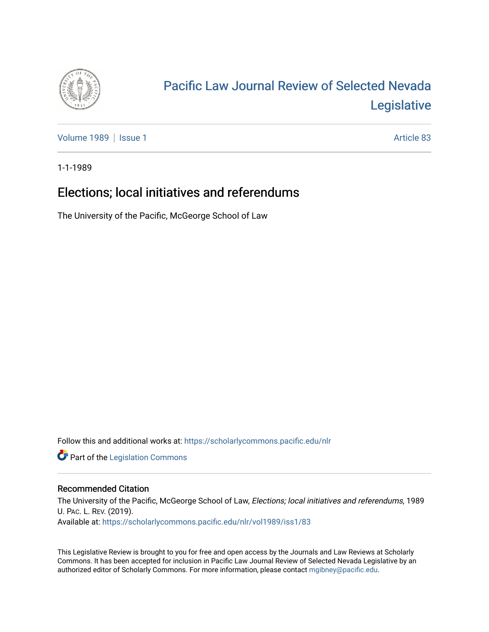

# [Pacific Law Journal Review of Selected Nevada](https://scholarlycommons.pacific.edu/nlr)  [Legislative](https://scholarlycommons.pacific.edu/nlr)

[Volume 1989](https://scholarlycommons.pacific.edu/nlr/vol1989) | [Issue 1](https://scholarlycommons.pacific.edu/nlr/vol1989/iss1) Article 83

1-1-1989

# Elections; local initiatives and referendums

The University of the Pacific, McGeorge School of Law

Follow this and additional works at: [https://scholarlycommons.pacific.edu/nlr](https://scholarlycommons.pacific.edu/nlr?utm_source=scholarlycommons.pacific.edu%2Fnlr%2Fvol1989%2Fiss1%2F83&utm_medium=PDF&utm_campaign=PDFCoverPages) 

**Part of the [Legislation Commons](http://network.bepress.com/hgg/discipline/859?utm_source=scholarlycommons.pacific.edu%2Fnlr%2Fvol1989%2Fiss1%2F83&utm_medium=PDF&utm_campaign=PDFCoverPages)** 

## Recommended Citation

The University of the Pacific, McGeorge School of Law, Elections; local initiatives and referendums, 1989 U. PAC. L. REV. (2019). Available at: [https://scholarlycommons.pacific.edu/nlr/vol1989/iss1/83](https://scholarlycommons.pacific.edu/nlr/vol1989/iss1/83?utm_source=scholarlycommons.pacific.edu%2Fnlr%2Fvol1989%2Fiss1%2F83&utm_medium=PDF&utm_campaign=PDFCoverPages)

This Legislative Review is brought to you for free and open access by the Journals and Law Reviews at Scholarly Commons. It has been accepted for inclusion in Pacific Law Journal Review of Selected Nevada Legislative by an authorized editor of Scholarly Commons. For more information, please contact [mgibney@pacific.edu](mailto:mgibney@pacific.edu).